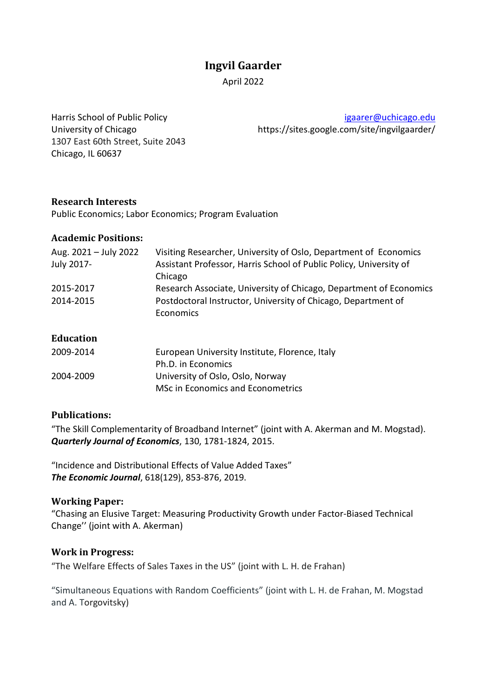# **Ingvil Gaarder**

April 2022

1307 East 60th Street, Suite 2043 Chicago, IL 60637

Harris School of Public Policy [igaarer@uchicago.edu](mailto:igaarer@uchicago.edu) University of Chicago https://sites.google.com/site/ingvilgaarder/

## **Research Interests**

Public Economics; Labor Economics; Program Evaluation

#### **Academic Positions:**

| Aug. 2021 - July 2022 | Visiting Researcher, University of Oslo, Department of Economics   |
|-----------------------|--------------------------------------------------------------------|
| July 2017-            | Assistant Professor, Harris School of Public Policy, University of |
|                       | Chicago                                                            |
| 2015-2017             | Research Associate, University of Chicago, Department of Economics |
| 2014-2015             | Postdoctoral Instructor, University of Chicago, Department of      |
|                       | <b>Economics</b>                                                   |
|                       |                                                                    |

#### **Education**

| 2009-2014 | European University Institute, Florence, Italy |
|-----------|------------------------------------------------|
|           | Ph.D. in Economics                             |
| 2004-2009 | University of Oslo, Oslo, Norway               |
|           | MSc in Economics and Econometrics              |
|           |                                                |

## **Publications:**

"The Skill Complementarity of Broadband Internet" (joint with A. Akerman and M. Mogstad). *Quarterly Journal of Economics*, 130, 1781-1824, 2015.

"Incidence and Distributional Effects of Value Added Taxes" *The Economic Journal*, 618(129), 853-876, 2019.

## **Working Paper:**

"Chasing an Elusive Target: Measuring Productivity Growth under Factor-Biased Technical Change'' (joint with A. Akerman)

## **Work in Progress:**

"The Welfare Effects of Sales Taxes in the US" (joint with L. H. de Frahan)

"Simultaneous Equations with Random Coefficients" (joint with L. H. de Frahan, M. Mogstad and A. Torgovitsky)